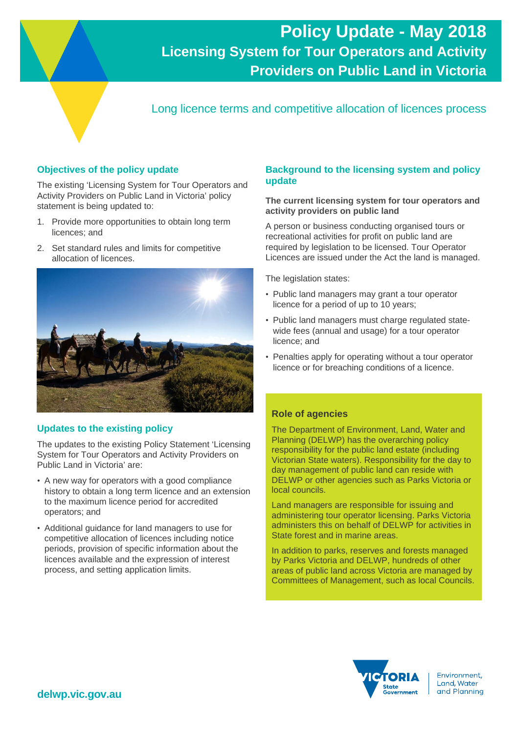# **Policy Update - May 2018 Licensing System for Tour Operators and Activity Providers on Public Land in Victoria**

Long licence terms and competitive allocation of licences process

# **Objectives of the policy update**

The existing 'Licensing System for Tour Operators and Activity Providers on Public Land in Victoria' policy statement is being updated to:

- 1. Provide more opportunities to obtain long term licences; and
- 2. Set standard rules and limits for competitive allocation of licences.



# **Updates to the existing policy**

The updates to the existing Policy Statement 'Licensing System for Tour Operators and Activity Providers on Public Land in Victoria' are:

- A new way for operators with a good compliance history to obtain a long term licence and an extension to the maximum licence period for accredited operators; and
- Additional guidance for land managers to use for competitive allocation of licences including notice periods, provision of specific information about the licences available and the expression of interest process, and setting application limits.

# **Background to the licensing system and policy update**

#### **The current licensing system for tour operators and activity providers on public land**

A person or business conducting organised tours or recreational activities for profit on public land are required by legislation to be licensed. Tour Operator Licences are issued under the Act the land is managed.

The legislation states:

- Public land managers may grant a tour operator licence for a period of up to 10 years;
- Public land managers must charge regulated statewide fees (annual and usage) for a tour operator licence; and
- Penalties apply for operating without a tour operator licence or for breaching conditions of a licence.

#### **Role of agencies**

The Department of Environment, Land, Water and Planning (DELWP) has the overarching policy responsibility for the public land estate (including Victorian State waters). Responsibility for the day to day management of public land can reside with DELWP or other agencies such as Parks Victoria or local councils.

Land managers are responsible for issuing and administering tour operator licensing. Parks Victoria administers this on behalf of DELWP for activities in State forest and in marine areas.

In addition to parks, reserves and forests managed by Parks Victoria and DELWP, hundreds of other areas of public land across Victoria are managed by Committees of Management, such as local Councils.



Environment. Land, Water and Planning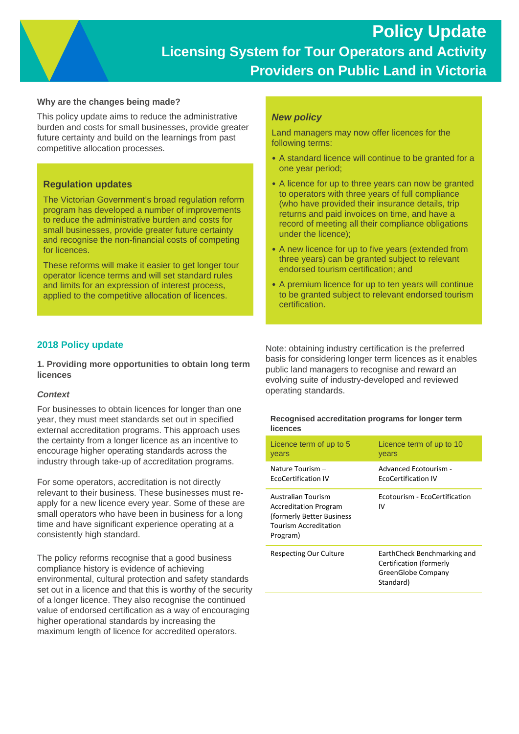#### **Why are the changes being made?**

This policy update aims to reduce the administrative burden and costs for small businesses, provide greater future certainty and build on the learnings from past competitive allocation processes.

# **Regulation updates**

The Victorian Government's broad regulation reform program has developed a number of improvements to reduce the administrative burden and costs for small businesses, provide greater future certainty and recognise the non-financial costs of competing for licences.

These reforms will make it easier to get longer tour operator licence terms and will set standard rules and limits for an expression of interest process, applied to the competitive allocation of licences.

### *New policy*

Land managers may now offer licences for the following terms:

- A standard licence will continue to be granted for a one year period;
- A licence for up to three years can now be granted to operators with three years of full compliance (who have provided their insurance details, trip returns and paid invoices on time, and have a record of meeting all their compliance obligations under the licence);
- A new licence for up to five years (extended from three years) can be granted subject to relevant endorsed tourism certification; and
- A premium licence for up to ten years will continue to be granted subject to relevant endorsed tourism certification.

# **2018 Policy update**

**1. Providing more opportunities to obtain long term licences** 

#### *Context*

For businesses to obtain licences for longer than one year, they must meet standards set out in specified external accreditation programs. This approach uses the certainty from a longer licence as an incentive to encourage higher operating standards across the industry through take-up of accreditation programs.

For some operators, accreditation is not directly relevant to their business. These businesses must reapply for a new licence every year. Some of these are small operators who have been in business for a long time and have significant experience operating at a consistently high standard.

The policy reforms recognise that a good business compliance history is evidence of achieving environmental, cultural protection and safety standards set out in a licence and that this is worthy of the security of a longer licence. They also recognise the continued value of endorsed certification as a way of encouraging higher operational standards by increasing the maximum length of licence for accredited operators.

Note: obtaining industry certification is the preferred basis for considering longer term licences as it enables public land managers to recognise and reward an evolving suite of industry-developed and reviewed operating standards.

#### **Recognised accreditation programs for longer term licences**

| Licence term of up to 5                                                                                                      | Licence term of up to 10                                                                  |
|------------------------------------------------------------------------------------------------------------------------------|-------------------------------------------------------------------------------------------|
| years                                                                                                                        | years                                                                                     |
| Nature Tourism -                                                                                                             | Advanced Ecotourism -                                                                     |
| <b>EcoCertification IV</b>                                                                                                   | <b>EcoCertification IV</b>                                                                |
| Australian Tourism<br><b>Accreditation Program</b><br>(formerly Better Business)<br><b>Tourism Accreditation</b><br>Program) | Ecotourism - EcoCertification<br>IV                                                       |
| Respecting Our Culture                                                                                                       | EarthCheck Benchmarking and<br>Certification (formerly<br>GreenGlobe Company<br>Standard) |